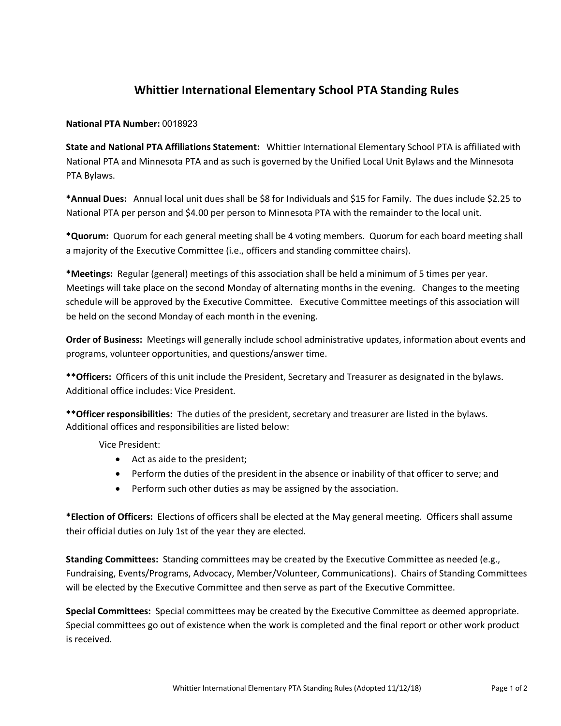# **Whittier International Elementary School PTA Standing Rules**

#### **National PTA Number:** 0018923

**State and National PTA Affiliations Statement:** Whittier International Elementary School PTA is affiliated with National PTA and Minnesota PTA and as such is governed by the Unified Local Unit Bylaws and the Minnesota PTA Bylaws.

**\*Annual Dues:** Annual local unit dues shall be \$8 for Individuals and \$15 for Family. The dues include \$2.25 to National PTA per person and \$4.00 per person to Minnesota PTA with the remainder to the local unit.

**\*Quorum:** Quorum for each general meeting shall be 4 voting members. Quorum for each board meeting shall a majority of the Executive Committee (i.e., officers and standing committee chairs).

**\*Meetings:** Regular (general) meetings of this association shall be held a minimum of 5 times per year. Meetings will take place on the second Monday of alternating months in the evening. Changes to the meeting schedule will be approved by the Executive Committee. Executive Committee meetings of this association will be held on the second Monday of each month in the evening.

**Order of Business:** Meetings will generally include school administrative updates, information about events and programs, volunteer opportunities, and questions/answer time.

**\*\*Officers:** Officers of this unit include the President, Secretary and Treasurer as designated in the bylaws. Additional office includes: Vice President.

**\*\*Officer responsibilities:** The duties of the president, secretary and treasurer are listed in the bylaws. Additional offices and responsibilities are listed below:

Vice President:

- Act as aide to the president;
- Perform the duties of the president in the absence or inability of that officer to serve; and
- Perform such other duties as may be assigned by the association.

**\*Election of Officers:** Elections of officers shall be elected at the May general meeting. Officers shall assume their official duties on July 1st of the year they are elected.

**Standing Committees:** Standing committees may be created by the Executive Committee as needed (e.g., Fundraising, Events/Programs, Advocacy, Member/Volunteer, Communications). Chairs of Standing Committees will be elected by the Executive Committee and then serve as part of the Executive Committee.

**Special Committees:** Special committees may be created by the Executive Committee as deemed appropriate. Special committees go out of existence when the work is completed and the final report or other work product is received.